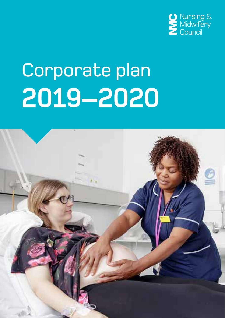

# Corporate plan **2019–2020**

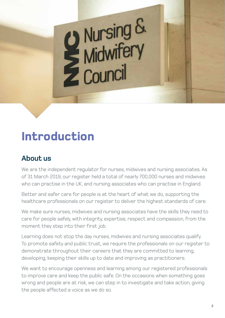# **Introduction**

### **About us**

We are the independent regulator for nurses, midwives and nursing associates. As of 31 March 2019, our register held a total of nearly 700,000 nurses and midwives who can practise in the UK, and nursing associates who can practise in England.

**Q** Nursing &<br>Midwifery<br>Z Council

Better and safer care for people is at the heart of what we do, supporting the healthcare professionals on our register to deliver the highest standards of care.

We make sure nurses, midwives and nursing associates have the skills they need to care for people safely, with integrity, expertise, respect and compassion, from the moment they step into their first job.

Learning does not stop the day nurses, midwives and nursing associates qualify. To promote safety and public trust, we require the professionals on our register to demonstrate throughout their careers that they are committed to learning, developing, keeping their skills up to date and improving as practitioners.

We want to encourage openness and learning among our registered professionals to improve care and keep the public safe. On the occasions when something goes wrong and people are at risk, we can step in to investigate and take action, giving the people affected a voice as we do so.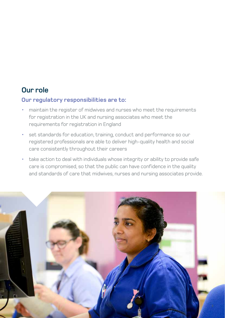### **Our role**

### **Our regulatory responsibilities are to:**

- maintain the register of midwives and nurses who meet the requirements for registration in the UK and nursing associates who meet the requirements for registration in England
- set standards for education, training, conduct and performance so our registered professionals are able to deliver high-quality health and social care consistently throughout their careers
- take action to deal with individuals whose integrity or ability to provide safe care is compromised, so that the public can have confidence in the quality and standards of care that midwives, nurses and nursing associates provide.

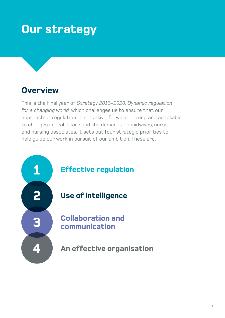# **Our strategy**

### **Overview**

This is the final year of *Strategy 2015–2020: Dynamic regulation for a changing world,* which challenges us to ensure that our approach to regulation is innovative, forward-looking and adaptable to changes in healthcare and the demands on midwives, nurses and nursing associates. It sets out four strategic priorities to help guide our work in pursuit of our ambition. These are:

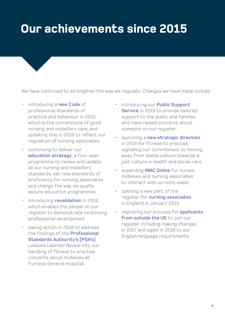# **Our achievements since 2015**

We have continued to strengthen the way we regulate. Changes we have made include:

- introducing a **new Code** of professional standards of practice and behaviour in 2015, which is the cornerstone of good nursing and midwifery care, and updating this in 2018 to reflect our regulation of nursing associates
- continuing to deliver our **education strategy**, a four-year programme to review and update all our nursing and midwifery standards, set new standards of proficiency for nursing associates and change the way we quality assure education programmes
- introducing **revalidation** in 2016, which enables the people on our register to demonstrate continuing professional development
- taking action in 2018 to address the findings of the **Professional Standards Authority's (PSA's)** *Lessons Learned Review* into our handling of fitness to practise concerns about midwives at Furness General Hospital
- introducing our **Public Support Service** in 2018 to provide tailored support to the public and families who have raised concerns about someone on our register
- launching a **new strategic direction**  in 2018 for fitness to practise, signalling our commitment to moving away from blame culture towards a just culture in health and social care
- expanding **NMC Online** for nurses, midwives and nursing associates to interact with us more easily
- opening a new part of the register for **nursing associates** in England in January 2019
- improving our process for **applicants from outside the UK** to join our register, including making changes in 2017 and again in 2018 to our English language requirements.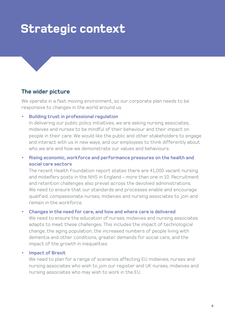## **Strategic context**

### **The wider picture**

We operate in a fast moving environment, so our corporate plan needs to be responsive to changes in the world around us.

#### **• Building trust in professional regulation**

In delivering our public policy initiatives, we are asking nursing associates, midwives and nurses to be mindful of their behaviour and their impact on people in their care. We would like the public and other stakeholders to engage and interact with us in new ways, and our employees to think differently about who we are and how we demonstrate our values and behaviours.

### **• Rising economic, workforce and performance pressures on the health and social care sectors**

The recent Health Foundation report states there are 41,000 vacant nursing and midwifery posts in the NHS in England – more than one in 10. Recruitment and retention challenges also prevail across the devolved administrations. We need to ensure that our standards and processes enable and encourage qualified, compassionate nurses, midwives and nursing associates to join and remain in the workforce.

#### **• Changes in the need for care, and how and where care is delivered**

We need to ensure the education of nurses, midwives and nursing associates adapts to meet these challenges. This includes the impact of technological change, the aging population, the increased numbers of people living with dementia and other conditions, greater demands for social care, and the impact of the growth in inequalities.

#### **• Impact of Brexit**

We need to plan for a range of scenarios affecting EU midwives, nurses and nursing associates who wish to join our register and UK nurses, midwives and nursing associates who may wish to work in the EU.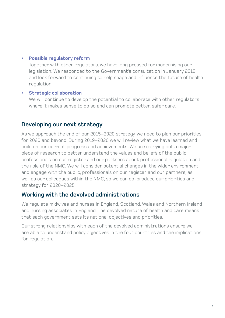### **• Possible regulatory reform**

Together with other regulators, we have long pressed for modernising our legislation. We responded to the Government's consultation in January 2018 and look forward to continuing to help shape and influence the future of health regulation.

### **• Strategic collaboration**

We will continue to develop the potential to collaborate with other regulators where it makes sense to do so and can promote better, safer care.

### **Developing our next strategy**

As we approach the end of our 2015–2020 strategy, we need to plan our priorities for 2020 and beyond. During 2019–2020 we will review what we have learned and build on our current progress and achievements. We are carrying out a major piece of research to better understand the values and beliefs of the public, professionals on our register and our partners about professional regulation and the role of the NMC. We will consider potential changes in the wider environment and engage with the public, professionals on our register and our partners, as well as our colleagues within the NMC, so we can co-produce our priorities and strategy for 2020–2025.

### **Working with the devolved administrations**

We regulate midwives and nurses in England, Scotland, Wales and Northern Ireland and nursing associates in England. The devolved nature of health and care means that each government sets its national objectives and priorities.

Our strong relationships with each of the devolved administrations ensure we are able to understand policy objectives in the four countries and the implications for regulation.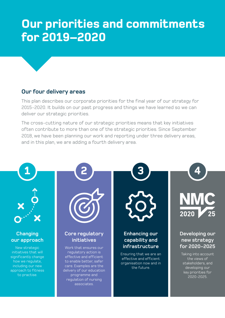### **Competitive Competitive Competitive Competitive Competitive Competitive Competitive Competitive Competitive Co For 2019–2020 Our priorities and commitments**

### **Our four delivery areas**

This plan describes our corporate priorities for the final year of our strategy for 2015-2020. It builds on our past progress and things we have learned so we can deliver our strategic priorities.

The cross-cutting nature of our strategic priorities means that key initiatives often contribute to more than one of the strategic priorities. Since September 2018, we have been planning our work and reporting under three delivery areas, and in this plan, we are adding a fourth delivery area.

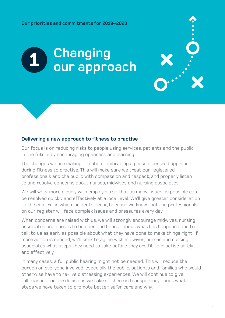# **Changing our approach 1**

### **Delivering a new approach to fitness to practise**

Our focus is on reducing risks to people using services, patients and the public in the future by encouraging openness and learning.

The changes we are making are about embracing a person-centred approach during fitness to practise. This will make sure we treat our registered professionals and the public with compassion and respect, and properly listen to and resolve concerns about nurses, midwives and nursing associates.

We will work more closely with employers so that as many issues as possible can be resolved quickly and effectively at a local level. We'll give greater consideration to the context in which incidents occur, because we know that the professionals on our register will face complex issues and pressures every day.

When concerns are raised with us, we will strongly encourage midwives, nursing associates and nurses to be open and honest about what has happened and to talk to us as early as possible about what they have done to make things right. If more action is needed, we'll seek to agree with midwives, nurses and nursing associates what steps they need to take before they are fit to practise safely and effectively.

In many cases, a full public hearing might not be needed. This will reduce the burden on everyone involved, especially the public, patients and families who would otherwise have to re-live distressing experiences. We will continue to give full reasons for the decisions we take so there is transparency about what steps we have taken to promote better, safer care and why.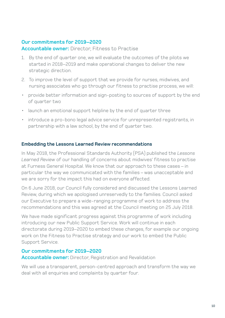### **Our commitments for 2019–2020**

**Accountable owner:** Director, Fitness to Practise

- 1. By the end of quarter one, we will evaluate the outcomes of the pilots we started in 2018–2019 and make operational changes to deliver the new strategic direction.
- 2. To improve the level of support that we provide for nurses, midwives, and nursing associates who go through our fitness to practise process, we will:
- provide better information and sign-posting to sources of support by the end of quarter two
- launch an emotional support helpline by the end of quarter three
- introduce a pro-bono legal advice service for unrepresented registrants, in partnership with a law school, by the end of quarter two.

### **Embedding the Lessons Learned Review recommendations**

In May 2018, the Professional Standards Authority (PSA) published the *Lessons Learned Review* of our handling of concerns about midwives' fitness to practise at Furness General Hospital. We know that our approach to these cases – in particular the way we communicated with the families – was unacceptable and we are sorry for the impact this had on everyone affected.

On 6 June 2018, our Council fully considered and discussed the Lessons Learned Review, during which we apologised unreservedly to the families. Council asked our Executive to prepare a wide-ranging programme of work to address the recommendations and this was agreed at the Council meeting on 25 July 2018.

We have made significant progress against this programme of work including introducing our new Public Support Service. Work will continue in each directorate during 2019–2020 to embed these changes, for example our ongoing work on the Fitness to Practise strategy and our work to embed the Public Support Service.

### **Our commitments for 2019–2020**

**Accountable owner:** Director, Registration and Revalidation

We will use a transparent, person-centred approach and transform the way we deal with all enquiries and complaints by quarter four.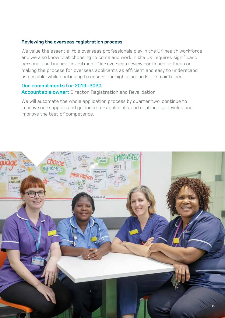### **Reviewing the overseas registration process**

We value the essential role overseas professionals play in the UK health workforce and we also know that choosing to come and work in the UK requires significant personal and financial investment. Our overseas review continues to focus on making the process for overseas applicants as efficient and easy to understand as possible, while continuing to ensure our high standards are maintained.

### **Our commitments for 2019–2020**

**Accountable owner:** Director, Registration and Revalidation

We will automate the whole application process by quarter two, continue to improve our support and guidance for applicants, and continue to develop and improve the test of competence.

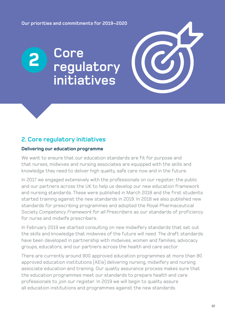**Our priorities and commitments for 2019–2020**

### **Core regulatory initiatives 2**

### **2. Core regulatory initiatives**

### **Delivering our education programme**

We want to ensure that our education standards are fit for purpose and that nurses, midwives and nursing associates are equipped with the skills and knowledge they need to deliver high quality, safe care now and in the future.

In 2017 we engaged extensively with the professionals on our register, the public and our partners across the UK to help us develop our new education framework and nursing standards. These were published in March 2018 and the first students started training against the new standards in 2019. In 2018 we also published new standards for prescribing programmes and adopted the Royal Pharmaceutical Society *Competency Framework for all Prescribers* as our standards of proficiency for nurse and midwife prescribers.

In February 2019 we started consulting on new midwifery standards that set out the skills and knowledge that midwives of the future will need. The draft standards have been developed in partnership with midwives, women and families, advocacy groups, educators, and our partners across the health and care sector.

There are currently around 900 approved education programmes at more than 80 approved education institutions (AEIs) delivering nursing, midwifery and nursing associate education and training. Our quality assurance process makes sure that the education programmes meet our standards to prepare health and care professionals to join our register. In 2019 we will begin to quality assure all education institutions and programmes against the new standards.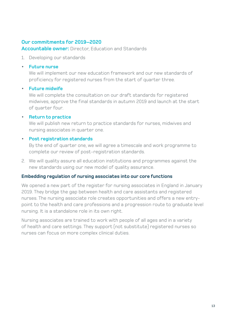### **Our commitments for 2019–2020**

**Accountable owner:** Director, Education and Standards

1. Developing our standards

### **• Future nurse**

We will implement our new education framework and our new standards of proficiency for registered nurses from the start of quarter three.

### **• Future midwife**

We will complete the consultation on our draft standards for registered midwives, approve the final standards in autumn 2019 and launch at the start of quarter four.

### **• Return to practice**

We will publish new return to practice standards for nurses, midwives and nursing associates in quarter one.

### **• Post registration standards**

By the end of quarter one, we will agree a timescale and work programme to complete our review of post-registration standards.

2. We will quality assure all education institutions and programmes against the new standards using our new model of quality assurance.

### **Embedding regulation of nursing associates into our core functions**

We opened a new part of the register for nursing associates in England in January 2019. They bridge the gap between health and care assistants and registered nurses. The nursing associate role creates opportunities and offers a new entrypoint to the health and care professions and a progression route to graduate level nursing. It is a standalone role in its own right.

Nursing associates are trained to work with people of all ages and in a variety of health and care settings. They support (not substitute) registered nurses so nurses can focus on more complex clinical duties.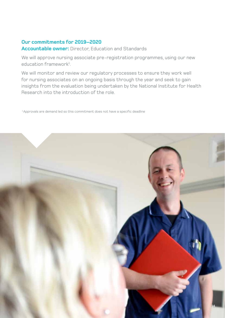### **Our commitments for 2019–2020**

### **Accountable owner:** Director, Education and Standards

We will approve nursing associate pre-registration programmes, using our new education framework<sup>1</sup>.

We will monitor and review our regulatory processes to ensure they work well for nursing associates on an ongoing basis through the year and seek to gain insights from the evaluation being undertaken by the National Institute for Health Research into the introduction of the role.

<sup>1</sup> Approvals are demand led so this commitment does not have a specific deadline

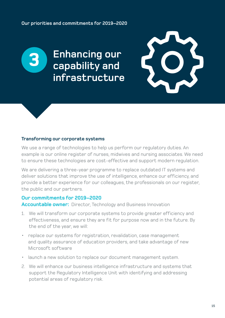### **Enhancing our capability and infrastructure**



#### **Transforming our corporate systems**

**3**

We use a range of technologies to help us perform our regulatory duties. An example is our online register of nurses, midwives and nursing associates. We need to ensure these technologies are cost-effective and support modern regulation.

We are delivering a three-year programme to replace outdated IT systems and deliver solutions that improve the use of intelligence, enhance our efficiency, and provide a better experience for our colleagues, the professionals on our register, the public and our partners.

### **Our commitments for 2019–2020**

**Accountable owner:** Director, Technology and Business Innovation

- 1. We will transform our corporate systems to provide greater efficiency and effectiveness, and ensure they are fit for purpose now and in the future. By the end of the year, we will:
- replace our systems for registration, revalidation, case management and quality assurance of education providers, and take advantage of new Microsoft software
- launch a new solution to replace our document management system.
- 2. We will enhance our business intelligence infrastructure and systems that support the Regulatory Intelligence Unit with identifying and addressing potential areas of regulatory risk.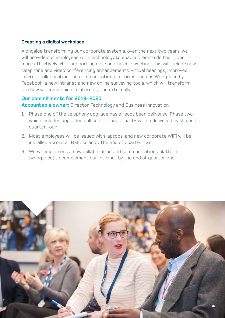### **Creating a digital workplace**

Alongside transforming our corporate systems, over the next two years, we will provide our employees with technology to enable them to do their jobs more effectively while supporting agile and flexible working. This will include new telephone and video conferencing enhancements, virtual hearings, improved internal collaboration and communication platforms such as Workplace by Facebook, a new intranet and new online surveying tools, which will transform the how we communicate internally and externally.

### **Our commitments for 2019–2020**

**Accountable owner:** Director, Technology and Business Innovation

- 1. Phase one of the telephony upgrade has already been delivered. Phase two, which includes upgraded call centre functionality, will be delivered by the end of quarter four.
- 2. Most employees will be issued with laptops, and new corporate WiFi will be installed across all NMC sites by the end of quarter two.
- 3. We will implement a new collaboration and communications platform (workplace) to complement our intranet by the end of quarter one.

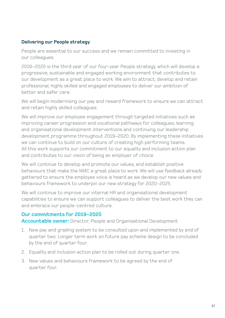### **Delivering our People strategy**

People are essential to our success and we remain committed to investing in our colleagues.

2019–2020 is the third year of our four-year People strategy, which will develop a progressive, sustainable and engaged working environment that contributes to our development as a great place to work. We aim to attract, develop and retain professional, highly skilled and engaged employees to deliver our ambition of better and safer care.

We will begin modernising our pay and reward framework to ensure we can attract and retain highly skilled colleagues.

We will improve our employee engagement through targeted initiatives such as improving career progression and vocational pathways for colleagues, learning and organisational development interventions and continuing our leadership development programme throughout 2019–2020. By implementing these initiatives we can continue to build on our culture of creating high performing teams. All this work supports our commitment to our equality and inclusion action plan and contributes to our vision of being an employer of choice.

We will continue to develop and promote our values, and establish positive behaviours that make the NMC a great place to work. We will use feedback already gathered to ensure the employee voice is heard as we develop our new values and behaviours framework to underpin our new strategy for 2020–2025.

We will continue to improve our internal HR and organisational development capabilities to ensure we can support colleagues to deliver the best work they can and embrace our people-centred culture.

### **Our commitments for 2019–2020**

**Accountable owner:** Director, People and Organisational Development

- 1. New pay and grading system to be consulted upon and implemented by end of quarter two. Longer term work on future pay scheme design to be concluded by the end of quarter four.
- 2. Equality and inclusion action plan to be rolled out during quarter one.
- 3. New values and behaviours framework to be agreed by the end of quarter four.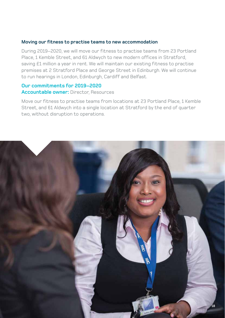### **Moving our fitness to practise teams to new accommodation**

During 2019–2020, we will move our fitness to practise teams from 23 Portland Place, 1 Kemble Street, and 61 Aldwych to new modern offices in Stratford, saving £1 million a year in rent. We will maintain our existing fitness to practise premises at 2 Stratford Place and George Street in Edinburgh. We will continue to run hearings in London, Edinburgh, Cardiff and Belfast.

### **Our commitments for 2019–2020 Accountable owner:** Director, Resources

Move our fitness to practise teams from locations at 23 Portland Place, 1 Kemble Street, and 61 Aldwych into a single location at Stratford by the end of quarter two, without disruption to operations.

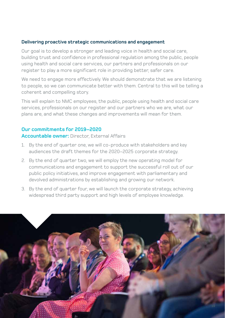### **Delivering proactive strategic communications and engagement**

Our goal is to develop a stronger and leading voice in health and social care, building trust and confidence in professional regulation among the public, people using health and social care services, our partners and professionals on our register to play a more significant role in providing better, safer care.

We need to engage more effectively. We should demonstrate that we are listening to people, so we can communicate better with them. Central to this will be telling a coherent and compelling story.

This will explain to NMC employees, the public, people using health and social care services, professionals on our register and our partners who we are, what our plans are, and what these changes and improvements will mean for them.

### **Our commitments for 2019–2020**

**Accountable owner:** Director, External Affairs

- 1. By the end of quarter one, we will co-produce with stakeholders and key audiences the draft themes for the 2020–2025 corporate strategy.
- 2. By the end of quarter two, we will employ the new operating model for communications and engagement to support the successful roll out of our public policy initiatives, and improve engagement with parliamentary and devolved administrations by establishing and growing our network.
- 3. By the end of quarter four, we will launch the corporate strategy, achieving widespread third party support and high levels of employee knowledge.

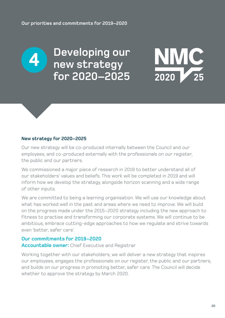

**Developing our new strategy for 2020–2025**



#### **New strategy for 2020–2025**

Our new strategy will be co-produced internally between the Council and our employees, and co-produced externally with the professionals on our register, the public and our partners.

We commissioned a major piece of research in 2018 to better understand all of our stakeholders' values and beliefs. This work will be completed in 2019 and will inform how we develop the strategy, alongside horizon scanning and a wide range of other inputs.

We are committed to being a learning organisation. We will use our knowledge about what has worked well in the past and areas where we need to improve. We will build on the progress made under the 2015–2020 strategy including the new approach to fitness to practise and transforming our corporate systems. We will continue to be ambitious, embrace cutting-edge approaches to how we regulate and strive towards even 'better, safer care'.

### **Our commitments for 2019–2020**

**Accountable owner:** Chief Executive and Registrar

Working together with our stakeholders, we will deliver a new strategy that inspires our employees, engages the professionals on our register, the public and our partners, and builds on our progress in promoting better, safer care. The Council will decide whether to approve the strategy by March 2020.